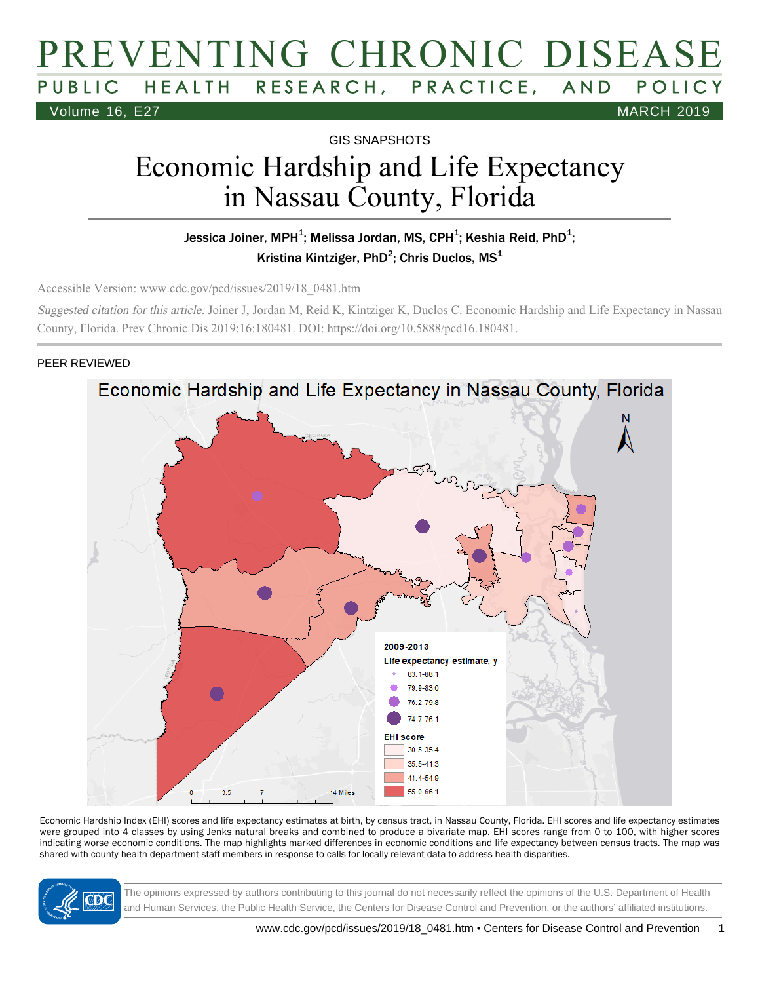## PREVENTING CHRONIC DISEASE HEALTH RESEARCH, PRACTICE, AND POLICY Volume 16, E27 MARCH 2019

GIS SNAPSHOTS

# Economic Hardship and Life Expectancy in Nassau County, Florida

#### Jessica Joiner, MPH $^4$ ; Melissa Jordan, MS, CPH $^4$ ; Keshia Reid, PhD $^4$ ; Kristina Kintziger, PhD<sup>2</sup>; Chris Duclos, MS<sup>1</sup>

Accessible Version: www.cdc.gov/pcd/issues/2019/18\_0481.htm

Suggested citation for this article: Joiner J, Jordan M, Reid K, Kintziger K, Duclos C. Economic Hardship and Life Expectancy in Nassau County, Florida. Prev Chronic Dis 2019;16:180481. DOI: https://doi.org/10.5888/pcd16.180481.

#### PEER REVIEWED



Economic Hardship Index (EHI) scores and life expectancy estimates at birth, by census tract, in Nassau County, Florida. EHI scores and life expectancy estimates were grouped into 4 classes by using Jenks natural breaks and combined to produce a bivariate map. EHI scores range from 0 to 100, with higher scores indicating worse economic conditions. The map highlights marked differences in economic conditions and life expectancy between census tracts. The map was shared with county health department staff members in response to calls for locally relevant data to address health disparities.



The opinions expressed by authors contributing to this journal do not necessarily reflect the opinions of the U.S. Department of Health and Human Services, the Public Health Service, the Centers for Disease Control and Prevention, or the authors' affiliated institutions.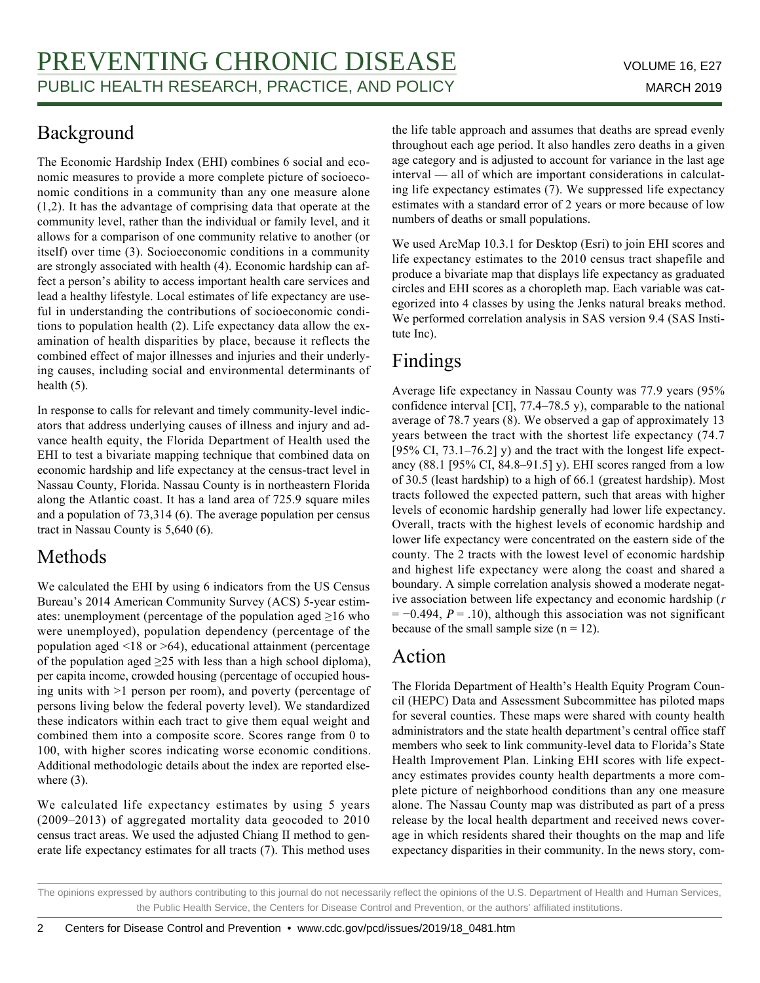## Background

The Economic Hardship Index (EHI) combines 6 social and economic measures to provide a more complete picture of socioeconomic conditions in a community than any one measure alone (1,2). It has the advantage of comprising data that operate at the community level, rather than the individual or family level, and it allows for a comparison of one community relative to another (or itself) over time (3). Socioeconomic conditions in a community are strongly associated with health (4). Economic hardship can affect a person's ability to access important health care services and lead a healthy lifestyle. Local estimates of life expectancy are useful in understanding the contributions of socioeconomic conditions to population health (2). Life expectancy data allow the examination of health disparities by place, because it reflects the combined effect of major illnesses and injuries and their underlying causes, including social and environmental determinants of health (5).

In response to calls for relevant and timely community-level indicators that address underlying causes of illness and injury and advance health equity, the Florida Department of Health used the EHI to test a bivariate mapping technique that combined data on economic hardship and life expectancy at the census-tract level in Nassau County, Florida. Nassau County is in northeastern Florida along the Atlantic coast. It has a land area of 725.9 square miles and a population of 73,314 (6). The average population per census tract in Nassau County is 5,640 (6).

#### Methods

We calculated the EHI by using 6 indicators from the US Census Bureau's 2014 American Community Survey (ACS) 5-year estimates: unemployment (percentage of the population aged  $\geq 16$  who were unemployed), population dependency (percentage of the population aged <18 or >64), educational attainment (percentage of the population aged  $\geq$ 25 with less than a high school diploma), per capita income, crowded housing (percentage of occupied housing units with >1 person per room), and poverty (percentage of persons living below the federal poverty level). We standardized these indicators within each tract to give them equal weight and combined them into a composite score. Scores range from 0 to 100, with higher scores indicating worse economic conditions. Additional methodologic details about the index are reported elsewhere  $(3)$ .

We calculated life expectancy estimates by using 5 years (2009–2013) of aggregated mortality data geocoded to 2010 census tract areas. We used the adjusted Chiang II method to generate life expectancy estimates for all tracts (7). This method uses the life table approach and assumes that deaths are spread evenly throughout each age period. It also handles zero deaths in a given age category and is adjusted to account for variance in the last age interval — all of which are important considerations in calculating life expectancy estimates (7). We suppressed life expectancy estimates with a standard error of 2 years or more because of low numbers of deaths or small populations.

We used ArcMap 10.3.1 for Desktop (Esri) to join EHI scores and life expectancy estimates to the 2010 census tract shapefile and produce a bivariate map that displays life expectancy as graduated circles and EHI scores as a choropleth map. Each variable was categorized into 4 classes by using the Jenks natural breaks method. We performed correlation analysis in SAS version 9.4 (SAS Institute Inc).

## Findings

Average life expectancy in Nassau County was 77.9 years (95% confidence interval [CI], 77.4–78.5 y), comparable to the national average of 78.7 years (8). We observed a gap of approximately 13 years between the tract with the shortest life expectancy (74.7 [95% CI, 73.1–76.2] y) and the tract with the longest life expectancy (88.1 [95% CI, 84.8–91.5] y). EHI scores ranged from a low of 30.5 (least hardship) to a high of 66.1 (greatest hardship). Most tracts followed the expected pattern, such that areas with higher levels of economic hardship generally had lower life expectancy. Overall, tracts with the highest levels of economic hardship and lower life expectancy were concentrated on the eastern side of the county. The 2 tracts with the lowest level of economic hardship and highest life expectancy were along the coast and shared a boundary. A simple correlation analysis showed a moderate negative association between life expectancy and economic hardship (<sup>r</sup>  $= -0.494$ ,  $P = .10$ ), although this association was not significant because of the small sample size  $(n = 12)$ .

#### Action

The Florida Department of Health's Health Equity Program Council (HEPC) Data and Assessment Subcommittee has piloted maps for several counties. These maps were shared with county health administrators and the state health department's central office staff members who seek to link community-level data to Florida's State Health Improvement Plan. Linking EHI scores with life expectancy estimates provides county health departments a more complete picture of neighborhood conditions than any one measure alone. The Nassau County map was distributed as part of a press release by the local health department and received news coverage in which residents shared their thoughts on the map and life expectancy disparities in their community. In the news story, com-

The opinions expressed by authors contributing to this journal do not necessarily reflect the opinions of the U.S. Department of Health and Human Services, the Public Health Service, the Centers for Disease Control and Prevention, or the authors' affiliated institutions.